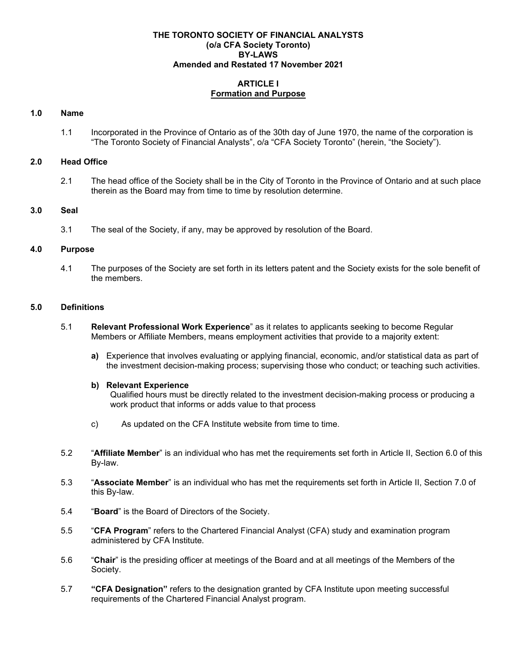#### **THE TORONTO SOCIETY OF FINANCIAL ANALYSTS (o/a CFA Society Toronto) BY-LAWS Amended and Restated 17 November 2021**

## **ARTICLE I Formation and Purpose**

## **1.0 Name**

1.1 Incorporated in the Province of Ontario as of the 30th day of June 1970, the name of the corporation is "The Toronto Society of Financial Analysts", o/a "CFA Society Toronto" (herein, "the Society").

### **2.0 Head Office**

2.1 The head office of the Society shall be in the City of Toronto in the Province of Ontario and at such place therein as the Board may from time to time by resolution determine.

## **3.0 Seal**

3.1 The seal of the Society, if any, may be approved by resolution of the Board.

### **4.0 Purpose**

4.1 The purposes of the Society are set forth in its letters patent and the Society exists for the sole benefit of the members.

## **5.0 Definitions**

- 5.1 **Relevant Professional Work Experience**" as it relates to applicants seeking to become Regular Members or Affiliate Members, means employment activities that provide to a majority extent:
	- **a)** Experience that involves evaluating or applying financial, economic, and/or statistical data as part of the investment decision-making process; supervising those who conduct; or teaching such activities.

### **b) Relevant Experience**

Qualified hours must be directly related to the investment decision-making process or producing a work product that informs or adds value to that process

- c) As updated on the CFA Institute website from time to time.
- 5.2 "**Affiliate Member**" is an individual who has met the requirements set forth in Article II, Section 6.0 of this By-law.
- 5.3 "**Associate Member**" is an individual who has met the requirements set forth in Article II, Section 7.0 of this By-law.
- 5.4 "**Board**" is the Board of Directors of the Society.
- 5.5 "**CFA Program**" refers to the Chartered Financial Analyst (CFA) study and examination program administered by CFA Institute.
- 5.6 "**Chair**" is the presiding officer at meetings of the Board and at all meetings of the Members of the Society.
- 5.7 **"CFA Designation"** refers to the designation granted by CFA Institute upon meeting successful requirements of the Chartered Financial Analyst program.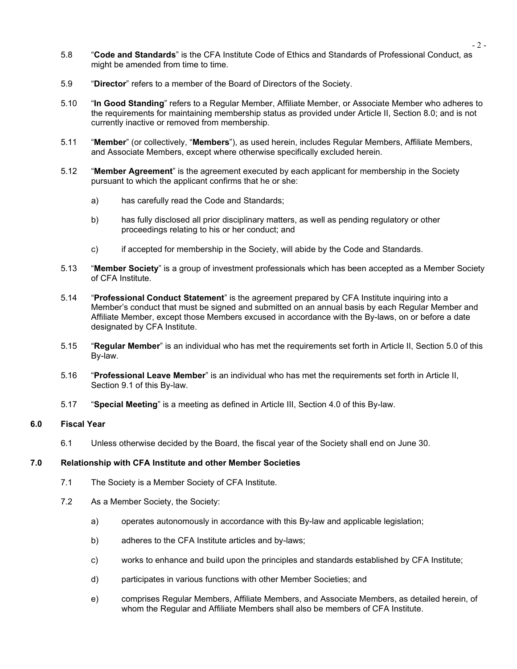- 5.8 "**Code and Standards**" is the CFA Institute Code of Ethics and Standards of Professional Conduct, as might be amended from time to time.
- 5.9 "**Director**" refers to a member of the Board of Directors of the Society.
- 5.10 "**In Good Standing**" refers to a Regular Member, Affiliate Member, or Associate Member who adheres to the requirements for maintaining membership status as provided under Article II, Section 8.0; and is not currently inactive or removed from membership.
- 5.11 "**Member**" (or collectively, "**Members**"), as used herein, includes Regular Members, Affiliate Members, and Associate Members, except where otherwise specifically excluded herein.
- 5.12 "**Member Agreement**" is the agreement executed by each applicant for membership in the Society pursuant to which the applicant confirms that he or she:
	- a) has carefully read the Code and Standards;
	- b) has fully disclosed all prior disciplinary matters, as well as pending regulatory or other proceedings relating to his or her conduct; and
	- c) if accepted for membership in the Society, will abide by the Code and Standards.
- 5.13 "**Member Society**" is a group of investment professionals which has been accepted as a Member Society of CFA Institute.
- 5.14 "**Professional Conduct Statement**" is the agreement prepared by CFA Institute inquiring into a Member's conduct that must be signed and submitted on an annual basis by each Regular Member and Affiliate Member, except those Members excused in accordance with the By-laws, on or before a date designated by CFA Institute.
- 5.15 "**Regular Member**" is an individual who has met the requirements set forth in Article II, Section 5.0 of this By-law.
- 5.16 "**Professional Leave Member**" is an individual who has met the requirements set forth in Article II, Section 9.1 of this By-law.
- 5.17 "**Special Meeting**" is a meeting as defined in Article III, Section 4.0 of this By-law.

### **6.0 Fiscal Year**

6.1 Unless otherwise decided by the Board, the fiscal year of the Society shall end on June 30.

#### **7.0 Relationship with CFA Institute and other Member Societies**

- 7.1 The Society is a Member Society of CFA Institute.
- 7.2 As a Member Society, the Society:
	- a) operates autonomously in accordance with this By-law and applicable legislation;
	- b) adheres to the CFA Institute articles and by-laws;
	- c) works to enhance and build upon the principles and standards established by CFA Institute;
	- d) participates in various functions with other Member Societies; and
	- e) comprises Regular Members, Affiliate Members, and Associate Members, as detailed herein, of whom the Regular and Affiliate Members shall also be members of CFA Institute.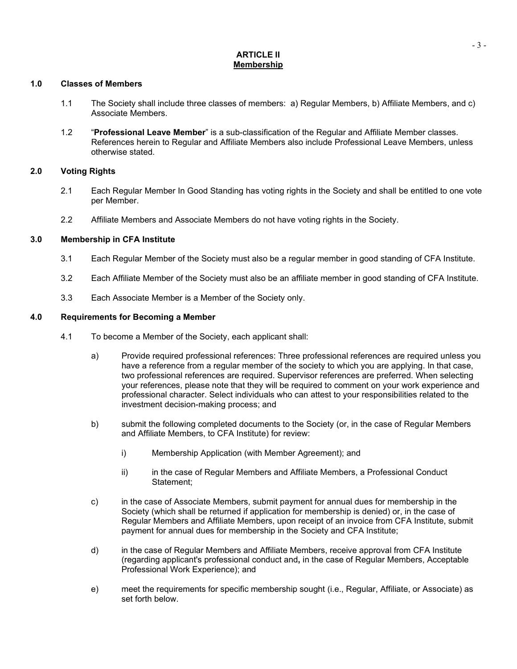### **ARTICLE II Membership**

### **1.0 Classes of Members**

- 1.1 The Society shall include three classes of members: a) Regular Members, b) Affiliate Members, and c) Associate Members.
- 1.2 "**Professional Leave Member**" is a sub-classification of the Regular and Affiliate Member classes. References herein to Regular and Affiliate Members also include Professional Leave Members, unless otherwise stated.

## **2.0 Voting Rights**

- 2.1 Each Regular Member In Good Standing has voting rights in the Society and shall be entitled to one vote per Member.
- 2.2 Affiliate Members and Associate Members do not have voting rights in the Society.

## **3.0 Membership in CFA Institute**

- 3.1 Each Regular Member of the Society must also be a regular member in good standing of CFA Institute.
- 3.2 Each Affiliate Member of the Society must also be an affiliate member in good standing of CFA Institute.
- 3.3 Each Associate Member is a Member of the Society only.

## **4.0 Requirements for Becoming a Member**

- 4.1 To become a Member of the Society, each applicant shall:
	- a) Provide required professional references: Three professional references are required unless you have a reference from a regular member of the society to which you are applying. In that case, two professional references are required. Supervisor references are preferred. When selecting your references, please note that they will be required to comment on your work experience and professional character. Select individuals who can attest to your responsibilities related to the investment decision-making process; and
	- b) submit the following completed documents to the Society (or, in the case of Regular Members and Affiliate Members, to CFA Institute) for review:
		- i) Membership Application (with Member Agreement); and
		- ii) in the case of Regular Members and Affiliate Members, a Professional Conduct Statement;
	- c) in the case of Associate Members, submit payment for annual dues for membership in the Society (which shall be returned if application for membership is denied) or, in the case of Regular Members and Affiliate Members, upon receipt of an invoice from CFA Institute, submit payment for annual dues for membership in the Society and CFA Institute;
	- d) in the case of Regular Members and Affiliate Members, receive approval from CFA Institute (regarding applicant's professional conduct and**,** in the case of Regular Members, Acceptable Professional Work Experience); and
	- e) meet the requirements for specific membership sought (i.e., Regular, Affiliate, or Associate) as set forth below.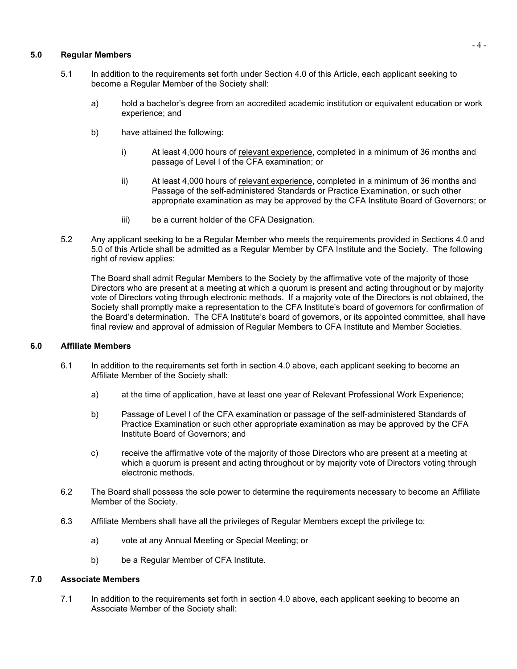## **5.0 Regular Members**

- 5.1 In addition to the requirements set forth under Section 4.0 of this Article, each applicant seeking to become a Regular Member of the Society shall:
	- a) hold a bachelor's degree from an accredited academic institution or equivalent education or work experience; and
	- b) have attained the following:
		- i) At least 4,000 hours of [relevant experience,](https://www.cfainstitute.org/en/membership/apply/resources) completed in a minimum of 36 months and passage of Level I of the CFA examination; or
		- ii) At least 4,000 hours of [relevant experience,](https://www.cfainstitute.org/en/membership/apply/resources) completed in a minimum of 36 months and Passage of the self-administered Standards or Practice Examination, or such other appropriate examination as may be approved by the CFA Institute Board of Governors; or
		- iii) be a current holder of the CFA Designation.
- 5.2 Any applicant seeking to be a Regular Member who meets the requirements provided in Sections 4.0 and 5.0 of this Article shall be admitted as a Regular Member by CFA Institute and the Society. The following right of review applies:

The Board shall admit Regular Members to the Society by the affirmative vote of the majority of those Directors who are present at a meeting at which a quorum is present and acting throughout or by majority vote of Directors voting through electronic methods. If a majority vote of the Directors is not obtained, the Society shall promptly make a representation to the CFA Institute's board of governors for confirmation of the Board's determination. The CFA Institute's board of governors, or its appointed committee, shall have final review and approval of admission of Regular Members to CFA Institute and Member Societies.

### **6.0 Affiliate Members**

- 6.1 In addition to the requirements set forth in section 4.0 above, each applicant seeking to become an Affiliate Member of the Society shall:
	- a) at the time of application, have at least one year of Relevant Professional Work Experience;
	- b) Passage of Level I of the CFA examination or passage of the self-administered Standards of Practice Examination or such other appropriate examination as may be approved by the CFA Institute Board of Governors; and
	- c) receive the affirmative vote of the majority of those Directors who are present at a meeting at which a quorum is present and acting throughout or by majority vote of Directors voting through electronic methods.
- 6.2 The Board shall possess the sole power to determine the requirements necessary to become an Affiliate Member of the Society.
- 6.3 Affiliate Members shall have all the privileges of Regular Members except the privilege to:
	- a) vote at any Annual Meeting or Special Meeting; or
	- b) be a Regular Member of CFA Institute.

### **7.0 Associate Members**

7.1 In addition to the requirements set forth in section 4.0 above, each applicant seeking to become an Associate Member of the Society shall: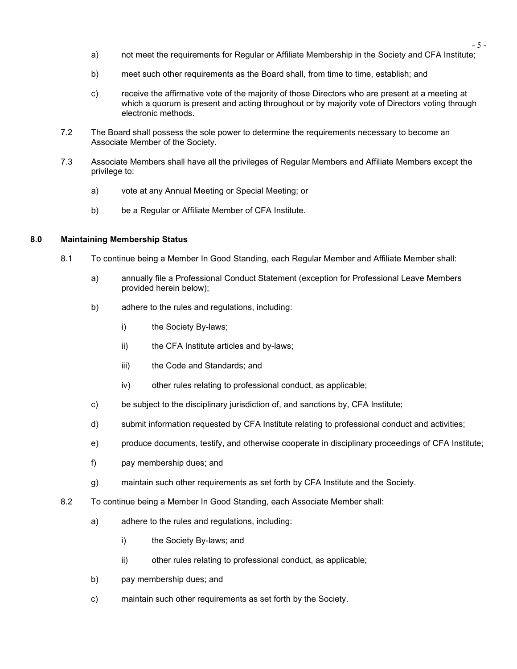- a) not meet the requirements for Regular or Affiliate Membership in the Society and CFA Institute;
- b) meet such other requirements as the Board shall, from time to time, establish; and
- c) receive the affirmative vote of the majority of those Directors who are present at a meeting at which a quorum is present and acting throughout or by majority vote of Directors voting through electronic methods.
- 7.2 The Board shall possess the sole power to determine the requirements necessary to become an Associate Member of the Society.
- 7.3 Associate Members shall have all the privileges of Regular Members and Affiliate Members except the privilege to:
	- a) vote at any Annual Meeting or Special Meeting; or
	- b) be a Regular or Affiliate Member of CFA Institute.

#### **8.0 Maintaining Membership Status**

- 8.1 To continue being a Member In Good Standing, each Regular Member and Affiliate Member shall:
	- a) annually file a Professional Conduct Statement (exception for Professional Leave Members provided herein below);
	- b) adhere to the rules and regulations, including:
		- i) the Society By-laws;
		- ii) the CFA Institute articles and by-laws;
		- iii) the Code and Standards; and
		- iv) other rules relating to professional conduct, as applicable;
	- c) be subject to the disciplinary jurisdiction of, and sanctions by, CFA Institute;
	- d) submit information requested by CFA Institute relating to professional conduct and activities;
	- e) produce documents, testify, and otherwise cooperate in disciplinary proceedings of CFA Institute;
	- f) pay membership dues; and
	- g) maintain such other requirements as set forth by CFA Institute and the Society.
- 8.2 To continue being a Member In Good Standing, each Associate Member shall:
	- a) adhere to the rules and regulations, including:
		- i) the Society By-laws; and
		- ii) other rules relating to professional conduct, as applicable;
	- b) pay membership dues; and
	- c) maintain such other requirements as set forth by the Society.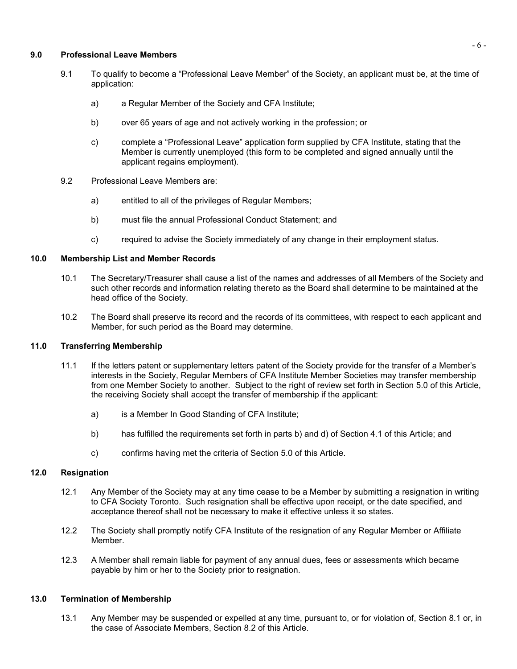### **9.0 Professional Leave Members**

- 9.1 To qualify to become a "Professional Leave Member" of the Society, an applicant must be, at the time of application:
	- a) a Regular Member of the Society and CFA Institute;
	- b) over 65 years of age and not actively working in the profession; or
	- c) complete a "Professional Leave" application form supplied by CFA Institute, stating that the Member is currently unemployed (this form to be completed and signed annually until the applicant regains employment).
- 9.2 Professional Leave Members are:
	- a) entitled to all of the privileges of Regular Members;
	- b) must file the annual Professional Conduct Statement; and
	- c) required to advise the Society immediately of any change in their employment status.

## **10.0 Membership List and Member Records**

- 10.1 The Secretary/Treasurer shall cause a list of the names and addresses of all Members of the Society and such other records and information relating thereto as the Board shall determine to be maintained at the head office of the Society.
- 10.2 The Board shall preserve its record and the records of its committees, with respect to each applicant and Member, for such period as the Board may determine.

### **11.0 Transferring Membership**

- 11.1 If the letters patent or supplementary letters patent of the Society provide for the transfer of a Member's interests in the Society, Regular Members of CFA Institute Member Societies may transfer membership from one Member Society to another. Subject to the right of review set forth in Section 5.0 of this Article, the receiving Society shall accept the transfer of membership if the applicant:
	- a) is a Member In Good Standing of CFA Institute;
	- b) has fulfilled the requirements set forth in parts b) and d) of Section 4.1 of this Article; and
	- c) confirms having met the criteria of Section 5.0 of this Article.

### **12.0 Resignation**

- 12.1 Any Member of the Society may at any time cease to be a Member by submitting a resignation in writing to CFA Society Toronto. Such resignation shall be effective upon receipt, or the date specified, and acceptance thereof shall not be necessary to make it effective unless it so states.
- 12.2 The Society shall promptly notify CFA Institute of the resignation of any Regular Member or Affiliate Member.
- 12.3 A Member shall remain liable for payment of any annual dues, fees or assessments which became payable by him or her to the Society prior to resignation.

## **13.0 Termination of Membership**

13.1 Any Member may be suspended or expelled at any time, pursuant to, or for violation of, Section 8.1 or, in the case of Associate Members, Section 8.2 of this Article.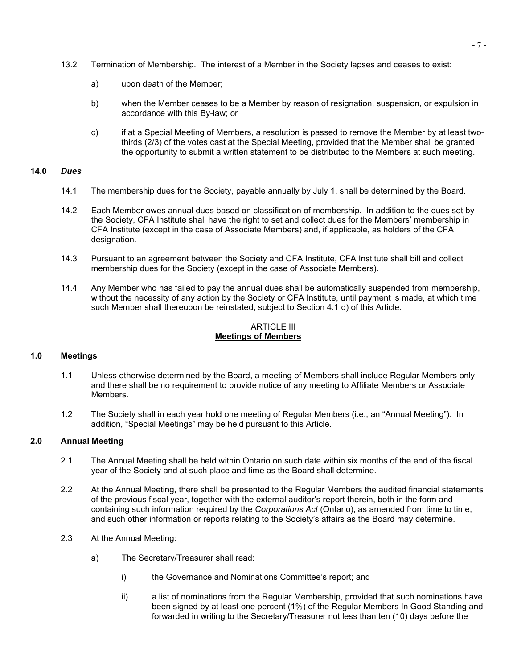- 13.2 Termination of Membership. The interest of a Member in the Society lapses and ceases to exist:
	- a) upon death of the Member;
	- b) when the Member ceases to be a Member by reason of resignation, suspension, or expulsion in accordance with this By-law; or
	- c) if at a Special Meeting of Members, a resolution is passed to remove the Member by at least twothirds (2/3) of the votes cast at the Special Meeting, provided that the Member shall be granted the opportunity to submit a written statement to be distributed to the Members at such meeting.

#### **14.0** *Dues*

- 14.1 The membership dues for the Society, payable annually by July 1, shall be determined by the Board.
- 14.2 Each Member owes annual dues based on classification of membership. In addition to the dues set by the Society, CFA Institute shall have the right to set and collect dues for the Members' membership in CFA Institute (except in the case of Associate Members) and, if applicable, as holders of the CFA designation.
- 14.3 Pursuant to an agreement between the Society and CFA Institute, CFA Institute shall bill and collect membership dues for the Society (except in the case of Associate Members).
- 14.4 Any Member who has failed to pay the annual dues shall be automatically suspended from membership, without the necessity of any action by the Society or CFA Institute, until payment is made, at which time such Member shall thereupon be reinstated, subject to Section 4.1 d) of this Article.

### ARTICLE III **Meetings of Members**

### **1.0 Meetings**

- 1.1 Unless otherwise determined by the Board, a meeting of Members shall include Regular Members only and there shall be no requirement to provide notice of any meeting to Affiliate Members or Associate Members.
- 1.2 The Society shall in each year hold one meeting of Regular Members (i.e., an "Annual Meeting"). In addition, "Special Meetings" may be held pursuant to this Article.

# **2.0 Annual Meeting**

- 2.1 The Annual Meeting shall be held within Ontario on such date within six months of the end of the fiscal year of the Society and at such place and time as the Board shall determine.
- 2.2 At the Annual Meeting, there shall be presented to the Regular Members the audited financial statements of the previous fiscal year, together with the external auditor's report therein, both in the form and containing such information required by the *Corporations Act* (Ontario), as amended from time to time, and such other information or reports relating to the Society's affairs as the Board may determine.
- 2.3 At the Annual Meeting:
	- a) The Secretary/Treasurer shall read:
		- i) the Governance and Nominations Committee's report; and
		- ii) a list of nominations from the Regular Membership, provided that such nominations have been signed by at least one percent (1%) of the Regular Members In Good Standing and forwarded in writing to the Secretary/Treasurer not less than ten (10) days before the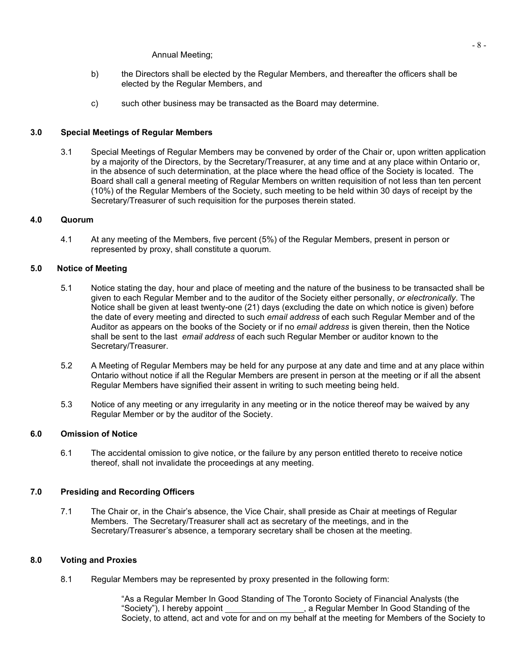#### Annual Meeting;

- b) the Directors shall be elected by the Regular Members, and thereafter the officers shall be elected by the Regular Members, and
- c) such other business may be transacted as the Board may determine.

## **3.0 Special Meetings of Regular Members**

3.1 Special Meetings of Regular Members may be convened by order of the Chair or, upon written application by a majority of the Directors, by the Secretary/Treasurer, at any time and at any place within Ontario or, in the absence of such determination, at the place where the head office of the Society is located. The Board shall call a general meeting of Regular Members on written requisition of not less than ten percent (10%) of the Regular Members of the Society, such meeting to be held within 30 days of receipt by the Secretary/Treasurer of such requisition for the purposes therein stated.

### **4.0 Quorum**

4.1 At any meeting of the Members, five percent (5%) of the Regular Members, present in person or represented by proxy, shall constitute a quorum.

### **5.0 Notice of Meeting**

- 5.1 Notice stating the day, hour and place of meeting and the nature of the business to be transacted shall be given to each Regular Member and to the auditor of the Society either personally, *or electronically*. The Notice shall be given at least twenty-one (21) days (excluding the date on which notice is given) before the date of every meeting and directed to such *email address* of each such Regular Member and of the Auditor as appears on the books of the Society or if no *email address* is given therein, then the Notice shall be sent to the last *email address* of each such Regular Member or auditor known to the Secretary/Treasurer.
- 5.2 A Meeting of Regular Members may be held for any purpose at any date and time and at any place within Ontario without notice if all the Regular Members are present in person at the meeting or if all the absent Regular Members have signified their assent in writing to such meeting being held.
- 5.3 Notice of any meeting or any irregularity in any meeting or in the notice thereof may be waived by any Regular Member or by the auditor of the Society.

# **6.0 Omission of Notice**

6.1 The accidental omission to give notice, or the failure by any person entitled thereto to receive notice thereof, shall not invalidate the proceedings at any meeting.

### **7.0 Presiding and Recording Officers**

7.1 The Chair or, in the Chair's absence, the Vice Chair, shall preside as Chair at meetings of Regular Members. The Secretary/Treasurer shall act as secretary of the meetings, and in the Secretary/Treasurer's absence, a temporary secretary shall be chosen at the meeting.

### **8.0 Voting and Proxies**

8.1 Regular Members may be represented by proxy presented in the following form:

"As a Regular Member In Good Standing of The Toronto Society of Financial Analysts (the "Society"), I hereby appoint  $\qquad \qquad ,$  a Regular Member In Good Standing of the Society, to attend, act and vote for and on my behalf at the meeting for Members of the Society to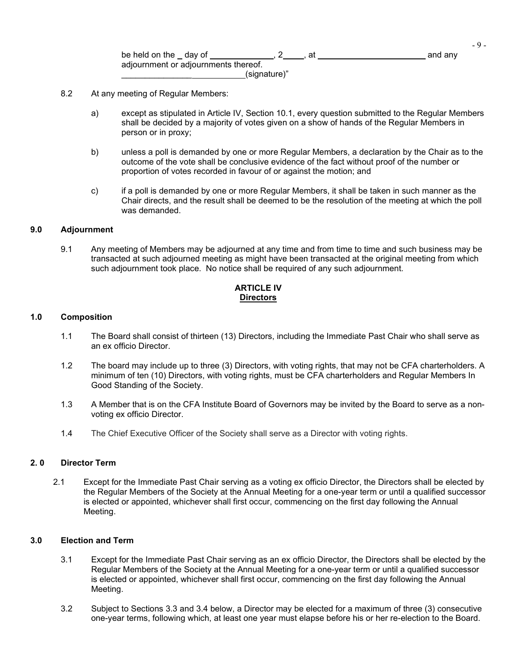|                                      |              | - 4     |
|--------------------------------------|--------------|---------|
| be held on the day of                | at           | and any |
| adjournment or adjournments thereof. |              |         |
|                                      | (signature)" |         |

- 8.2 At any meeting of Regular Members:
	- a) except as stipulated in Article IV, Section 10.1, every question submitted to the Regular Members shall be decided by a majority of votes given on a show of hands of the Regular Members in person or in proxy;
	- b) unless a poll is demanded by one or more Regular Members, a declaration by the Chair as to the outcome of the vote shall be conclusive evidence of the fact without proof of the number or proportion of votes recorded in favour of or against the motion; and
	- c) if a poll is demanded by one or more Regular Members, it shall be taken in such manner as the Chair directs, and the result shall be deemed to be the resolution of the meeting at which the poll was demanded.

#### **9.0 Adjournment**

9.1 Any meeting of Members may be adjourned at any time and from time to time and such business may be transacted at such adjourned meeting as might have been transacted at the original meeting from which such adjournment took place. No notice shall be required of any such adjournment.

## **ARTICLE IV Directors**

#### **1.0 Composition**

- 1.1 The Board shall consist of thirteen (13) Directors, including the Immediate Past Chair who shall serve as an ex officio Director.
- 1.2 The board may include up to three (3) Directors, with voting rights, that may not be CFA charterholders. A minimum of ten (10) Directors, with voting rights, must be CFA charterholders and Regular Members In Good Standing of the Society.
- 1.3 A Member that is on the CFA Institute Board of Governors may be invited by the Board to serve as a nonvoting ex officio Director.
- 1.4 The Chief Executive Officer of the Society shall serve as a Director with voting rights.

### **2. 0 Director Term**

2.1 Except for the Immediate Past Chair serving as a voting ex officio Director, the Directors shall be elected by the Regular Members of the Society at the Annual Meeting for a one-year term or until a qualified successor is elected or appointed, whichever shall first occur, commencing on the first day following the Annual Meeting.

## **3.0 Election and Term**

- 3.1 Except for the Immediate Past Chair serving as an ex officio Director, the Directors shall be elected by the Regular Members of the Society at the Annual Meeting for a one-year term or until a qualified successor is elected or appointed, whichever shall first occur, commencing on the first day following the Annual Meeting.
- 3.2 Subject to Sections 3.3 and 3.4 below, a Director may be elected for a maximum of three (3) consecutive one-year terms, following which, at least one year must elapse before his or her re-election to the Board.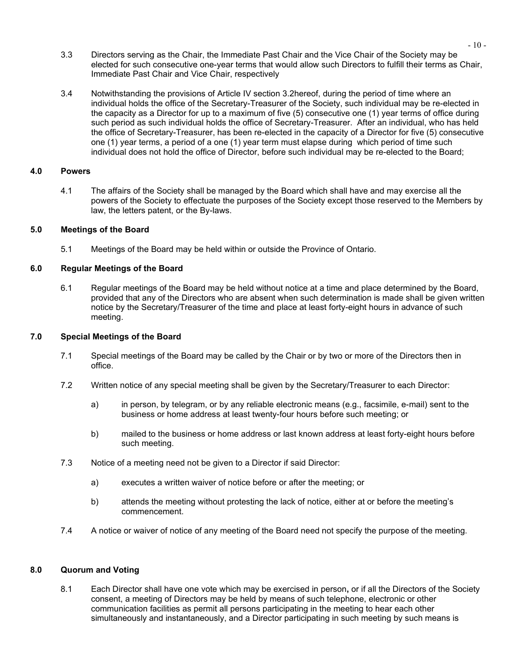- 3.3 Directors serving as the Chair, the Immediate Past Chair and the Vice Chair of the Society may be elected for such consecutive one-year terms that would allow such Directors to fulfill their terms as Chair, Immediate Past Chair and Vice Chair, respectively
- 3.4 Notwithstanding the provisions of Article IV section 3.2hereof, during the period of time where an individual holds the office of the Secretary-Treasurer of the Society, such individual may be re-elected in the capacity as a Director for up to a maximum of five (5) consecutive one (1) year terms of office during such period as such individual holds the office of Secretary-Treasurer. After an individual, who has held the office of Secretary-Treasurer, has been re-elected in the capacity of a Director for five (5) consecutive one (1) year terms, a period of a one (1) year term must elapse during which period of time such individual does not hold the office of Director, before such individual may be re-elected to the Board;

### **4.0 Powers**

4.1 The affairs of the Society shall be managed by the Board which shall have and may exercise all the powers of the Society to effectuate the purposes of the Society except those reserved to the Members by law, the letters patent, or the By-laws.

## **5.0 Meetings of the Board**

5.1 Meetings of the Board may be held within or outside the Province of Ontario.

# **6.0 Regular Meetings of the Board**

6.1 Regular meetings of the Board may be held without notice at a time and place determined by the Board, provided that any of the Directors who are absent when such determination is made shall be given written notice by the Secretary/Treasurer of the time and place at least forty-eight hours in advance of such meeting.

## **7.0 Special Meetings of the Board**

- 7.1 Special meetings of the Board may be called by the Chair or by two or more of the Directors then in office.
- 7.2 Written notice of any special meeting shall be given by the Secretary/Treasurer to each Director:
	- a) in person, by telegram, or by any reliable electronic means (e.g., facsimile, e-mail) sent to the business or home address at least twenty-four hours before such meeting; or
	- b) mailed to the business or home address or last known address at least forty-eight hours before such meeting.
- 7.3 Notice of a meeting need not be given to a Director if said Director:
	- a) executes a written waiver of notice before or after the meeting; or
	- b) attends the meeting without protesting the lack of notice, either at or before the meeting's commencement.
- 7.4 A notice or waiver of notice of any meeting of the Board need not specify the purpose of the meeting.

### **8.0 Quorum and Voting**

8.1 Each Director shall have one vote which may be exercised in person**,** or if all the Directors of the Society consent, a meeting of Directors may be held by means of such telephone, electronic or other communication facilities as permit all persons participating in the meeting to hear each other simultaneously and instantaneously, and a Director participating in such meeting by such means is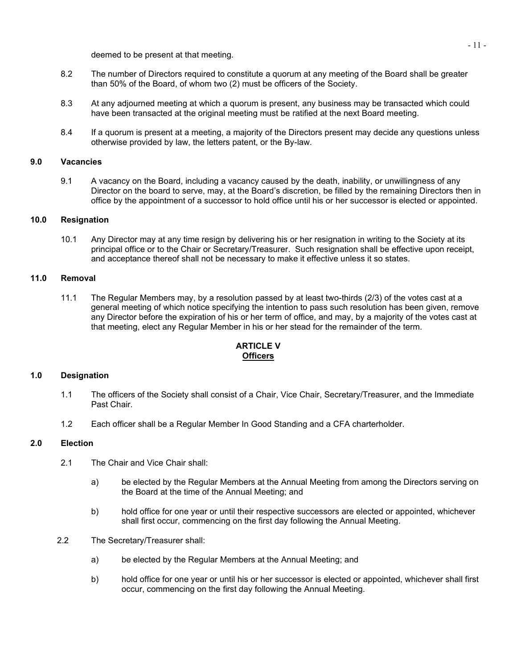deemed to be present at that meeting.

- 8.2 The number of Directors required to constitute a quorum at any meeting of the Board shall be greater than 50% of the Board, of whom two (2) must be officers of the Society.
- 8.3 At any adjourned meeting at which a quorum is present, any business may be transacted which could have been transacted at the original meeting must be ratified at the next Board meeting.
- 8.4 If a quorum is present at a meeting, a majority of the Directors present may decide any questions unless otherwise provided by law, the letters patent, or the By-law.

# **9.0 Vacancies**

9.1 A vacancy on the Board, including a vacancy caused by the death, inability, or unwillingness of any Director on the board to serve, may, at the Board's discretion, be filled by the remaining Directors then in office by the appointment of a successor to hold office until his or her successor is elected or appointed.

### **10.0 Resignation**

10.1 Any Director may at any time resign by delivering his or her resignation in writing to the Society at its principal office or to the Chair or Secretary/Treasurer. Such resignation shall be effective upon receipt, and acceptance thereof shall not be necessary to make it effective unless it so states.

## **11.0 Removal**

11.1 The Regular Members may, by a resolution passed by at least two-thirds (2/3) of the votes cast at a general meeting of which notice specifying the intention to pass such resolution has been given, remove any Director before the expiration of his or her term of office, and may, by a majority of the votes cast at that meeting, elect any Regular Member in his or her stead for the remainder of the term.

## **ARTICLE V Officers**

### **1.0 Designation**

- 1.1 The officers of the Society shall consist of a Chair, Vice Chair, Secretary/Treasurer, and the Immediate Past Chair.
- 1.2 Each officer shall be a Regular Member In Good Standing and a CFA charterholder.

# **2.0 Election**

- 2.1 The Chair and Vice Chair shall:
	- a) be elected by the Regular Members at the Annual Meeting from among the Directors serving on the Board at the time of the Annual Meeting; and
	- b) hold office for one year or until their respective successors are elected or appointed, whichever shall first occur, commencing on the first day following the Annual Meeting.
- 2.2 The Secretary/Treasurer shall:
	- a) be elected by the Regular Members at the Annual Meeting; and
	- b) hold office for one year or until his or her successor is elected or appointed, whichever shall first occur, commencing on the first day following the Annual Meeting.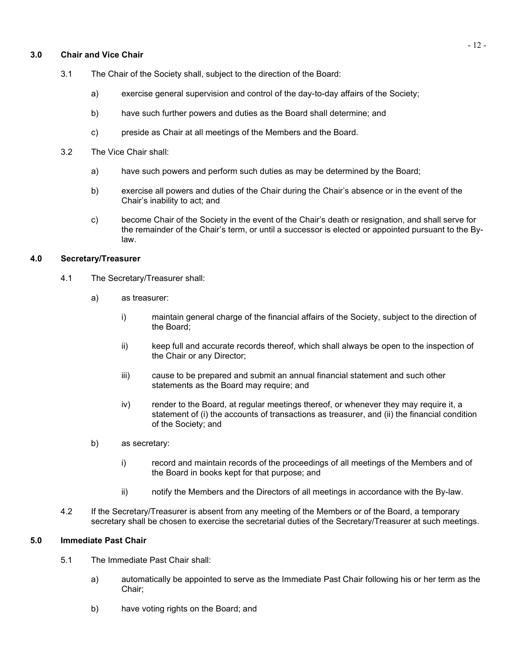### **3.0 Chair and Vice Chair**

- 3.1 The Chair of the Society shall, subject to the direction of the Board:
	- a) exercise general supervision and control of the day-to-day affairs of the Society;
	- b) have such further powers and duties as the Board shall determine; and
	- c) preside as Chair at all meetings of the Members and the Board.
- 3.2 The Vice Chair shall:
	- a) have such powers and perform such duties as may be determined by the Board;
	- b) exercise all powers and duties of the Chair during the Chair's absence or in the event of the Chair's inability to act; and
	- c) become Chair of the Society in the event of the Chair's death or resignation, and shall serve for the remainder of the Chair's term, or until a successor is elected or appointed pursuant to the Bylaw.

## **4.0 Secretary/Treasurer**

- 4.1 The Secretary/Treasurer shall:
	- a) as treasurer:
		- i) maintain general charge of the financial affairs of the Society, subject to the direction of the Board;
		- ii) keep full and accurate records thereof, which shall always be open to the inspection of the Chair or any Director;
		- iii) cause to be prepared and submit an annual financial statement and such other statements as the Board may require; and
		- iv) render to the Board, at regular meetings thereof, or whenever they may require it, a statement of (i) the accounts of transactions as treasurer, and (ii) the financial condition of the Society; and
	- b) as secretary:
		- i) record and maintain records of the proceedings of all meetings of the Members and of the Board in books kept for that purpose; and
		- ii) notify the Members and the Directors of all meetings in accordance with the By-law.
- 4.2 If the Secretary/Treasurer is absent from any meeting of the Members or of the Board, a temporary secretary shall be chosen to exercise the secretarial duties of the Secretary/Treasurer at such meetings.

## **5.0 Immediate Past Chair**

- 5.1 The Immediate Past Chair shall:
	- a) automatically be appointed to serve as the Immediate Past Chair following his or her term as the Chair;
	- b) have voting rights on the Board; and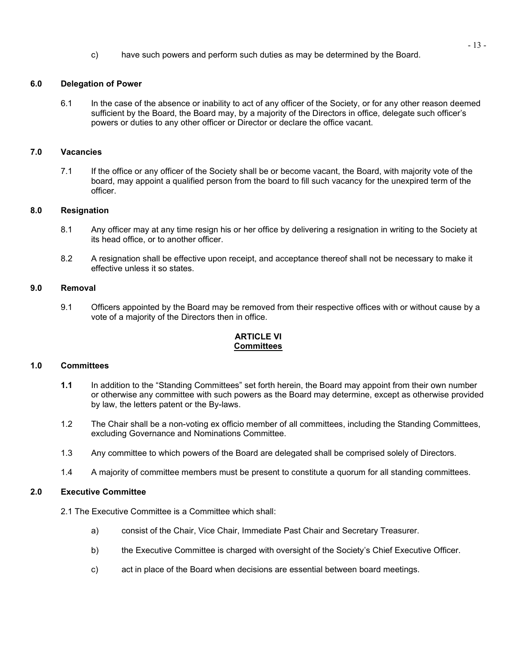c) have such powers and perform such duties as may be determined by the Board.

# **6.0 Delegation of Power**

6.1 In the case of the absence or inability to act of any officer of the Society, or for any other reason deemed sufficient by the Board, the Board may, by a majority of the Directors in office, delegate such officer's powers or duties to any other officer or Director or declare the office vacant.

### **7.0 Vacancies**

7.1 If the office or any officer of the Society shall be or become vacant, the Board, with majority vote of the board, may appoint a qualified person from the board to fill such vacancy for the unexpired term of the officer.

## **8.0 Resignation**

- 8.1 Any officer may at any time resign his or her office by delivering a resignation in writing to the Society at its head office, or to another officer.
- 8.2 A resignation shall be effective upon receipt, and acceptance thereof shall not be necessary to make it effective unless it so states.

## **9.0 Removal**

9.1 Officers appointed by the Board may be removed from their respective offices with or without cause by a vote of a majority of the Directors then in office.

# **ARTICLE VI Committees**

### **1.0 Committees**

- **1.1** In addition to the "Standing Committees" set forth herein, the Board may appoint from their own number or otherwise any committee with such powers as the Board may determine, except as otherwise provided by law, the letters patent or the By-laws.
- 1.2 The Chair shall be a non-voting ex officio member of all committees, including the Standing Committees, excluding Governance and Nominations Committee.
- 1.3 Any committee to which powers of the Board are delegated shall be comprised solely of Directors.
- 1.4 A majority of committee members must be present to constitute a quorum for all standing committees.

### **2.0 Executive Committee**

2.1 The Executive Committee is a Committee which shall:

- a) consist of the Chair, Vice Chair, Immediate Past Chair and Secretary Treasurer.
- b) the Executive Committee is charged with oversight of the Society's Chief Executive Officer.
- c) act in place of the Board when decisions are essential between board meetings.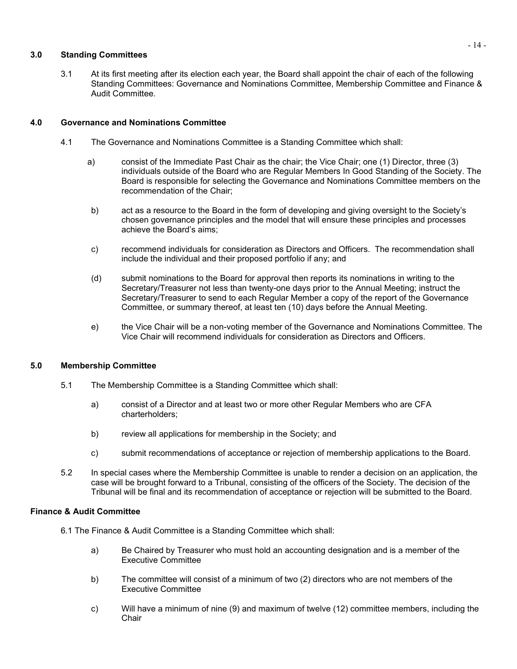## **3.0 Standing Committees**

3.1 At its first meeting after its election each year, the Board shall appoint the chair of each of the following Standing Committees: Governance and Nominations Committee, Membership Committee and Finance & Audit Committee.

## **4.0 Governance and Nominations Committee**

- 4.1 The Governance and Nominations Committee is a Standing Committee which shall:
	- a) consist of the Immediate Past Chair as the chair; the Vice Chair; one (1) Director, three (3) individuals outside of the Board who are Regular Members In Good Standing of the Society. The Board is responsible for selecting the Governance and Nominations Committee members on the recommendation of the Chair;
	- b) act as a resource to the Board in the form of developing and giving oversight to the Society's chosen governance principles and the model that will ensure these principles and processes achieve the Board's aims;
	- c) recommend individuals for consideration as Directors and Officers. The recommendation shall include the individual and their proposed portfolio if any; and
	- (d) submit nominations to the Board for approval then reports its nominations in writing to the Secretary/Treasurer not less than twenty-one days prior to the Annual Meeting; instruct the Secretary/Treasurer to send to each Regular Member a copy of the report of the Governance Committee, or summary thereof, at least ten (10) days before the Annual Meeting.
	- e) the Vice Chair will be a non-voting member of the Governance and Nominations Committee. The Vice Chair will recommend individuals for consideration as Directors and Officers.

# **5.0 Membership Committee**

- 5.1 The Membership Committee is a Standing Committee which shall:
	- a) consist of a Director and at least two or more other Regular Members who are CFA charterholders;
	- b) review all applications for membership in the Society; and
	- c) submit recommendations of acceptance or rejection of membership applications to the Board.
- 5.2 In special cases where the Membership Committee is unable to render a decision on an application, the case will be brought forward to a Tribunal, consisting of the officers of the Society. The decision of the Tribunal will be final and its recommendation of acceptance or rejection will be submitted to the Board.

# **Finance & Audit Committee**

- 6.1 The Finance & Audit Committee is a Standing Committee which shall:
	- a) Be Chaired by Treasurer who must hold an accounting designation and is a member of the Executive Committee
	- b) The committee will consist of a minimum of two (2) directors who are not members of the Executive Committee
	- c) Will have a minimum of nine (9) and maximum of twelve (12) committee members, including the **Chair**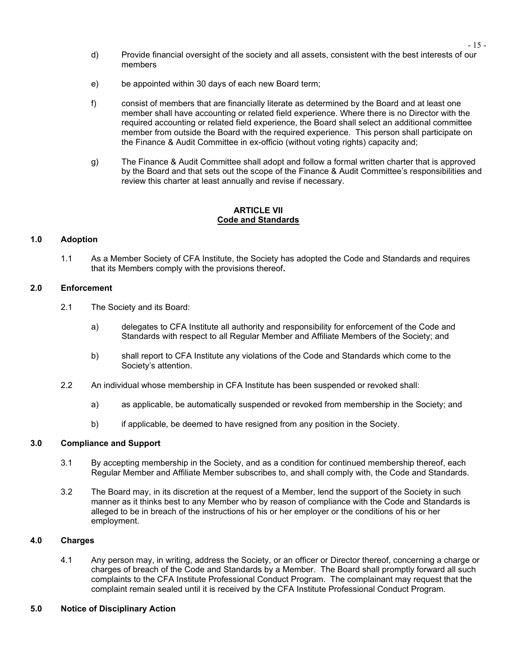- d) Provide financial oversight of the society and all assets, consistent with the best interests of our members
- e) be appointed within 30 days of each new Board term;
- f) consist of members that are financially literate as determined by the Board and at least one member shall have accounting or related field experience. Where there is no Director with the required accounting or related field experience, the Board shall select an additional committee member from outside the Board with the required experience. This person shall participate on the Finance & Audit Committee in ex-officio (without voting rights) capacity and;
- g) The Finance & Audit Committee shall adopt and follow a formal written charter that is approved by the Board and that sets out the scope of the Finance & Audit Committee's responsibilities and review this charter at least annually and revise if necessary.

## **ARTICLE VII Code and Standards**

# **1.0 Adoption**

1.1 As a Member Society of CFA Institute, the Society has adopted the Code and Standards and requires that its Members comply with the provisions thereof**.**

### **2.0 Enforcement**

- 2.1 The Society and its Board:
	- a) delegates to CFA Institute all authority and responsibility for enforcement of the Code and Standards with respect to all Regular Member and Affiliate Members of the Society; and
	- b) shall report to CFA Institute any violations of the Code and Standards which come to the Society's attention.
- 2.2 An individual whose membership in CFA Institute has been suspended or revoked shall:
	- a) as applicable, be automatically suspended or revoked from membership in the Society; and
	- b) if applicable, be deemed to have resigned from any position in the Society.

# **3.0 Compliance and Support**

- 3.1 By accepting membership in the Society, and as a condition for continued membership thereof, each Regular Member and Affiliate Member subscribes to, and shall comply with, the Code and Standards.
- 3.2 The Board may, in its discretion at the request of a Member, lend the support of the Society in such manner as it thinks best to any Member who by reason of compliance with the Code and Standards is alleged to be in breach of the instructions of his or her employer or the conditions of his or her employment.

### **4.0 Charges**

4.1 Any person may, in writing, address the Society, or an officer or Director thereof, concerning a charge or charges of breach of the Code and Standards by a Member. The Board shall promptly forward all such complaints to the CFA Institute Professional Conduct Program. The complainant may request that the complaint remain sealed until it is received by the CFA Institute Professional Conduct Program.

# **5.0 Notice of Disciplinary Action**